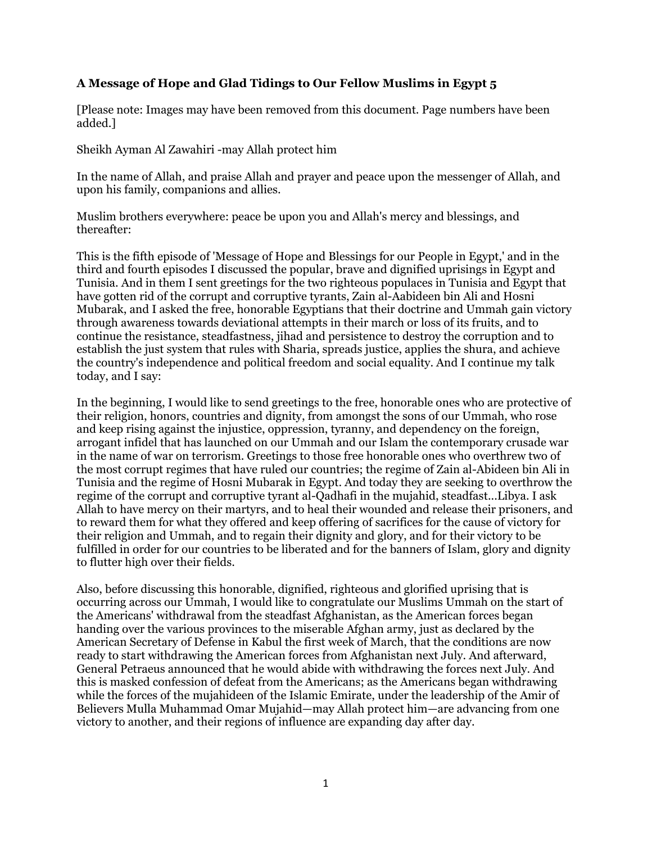## **A Message of Hope and Glad Tidings to Our Fellow Muslims in Egypt 5**

[Please note: Images may have been removed from this document. Page numbers have been added.]

Sheikh Ayman Al Zawahiri -may Allah protect him

In the name of Allah, and praise Allah and prayer and peace upon the messenger of Allah, and upon his family, companions and allies.

Muslim brothers everywhere: peace be upon you and Allah's mercy and blessings, and thereafter:

This is the fifth episode of 'Message of Hope and Blessings for our People in Egypt,' and in the third and fourth episodes I discussed the popular, brave and dignified uprisings in Egypt and Tunisia. And in them I sent greetings for the two righteous populaces in Tunisia and Egypt that have gotten rid of the corrupt and corruptive tyrants, Zain al-Aabideen bin Ali and Hosni Mubarak, and I asked the free, honorable Egyptians that their doctrine and Ummah gain victory through awareness towards deviational attempts in their march or loss of its fruits, and to continue the resistance, steadfastness, jihad and persistence to destroy the corruption and to establish the just system that rules with Sharia, spreads justice, applies the shura, and achieve the country's independence and political freedom and social equality. And I continue my talk today, and I say:

In the beginning, I would like to send greetings to the free, honorable ones who are protective of their religion, honors, countries and dignity, from amongst the sons of our Ummah, who rose and keep rising against the injustice, oppression, tyranny, and dependency on the foreign, arrogant infidel that has launched on our Ummah and our Islam the contemporary crusade war in the name of war on terrorism. Greetings to those free honorable ones who overthrew two of the most corrupt regimes that have ruled our countries; the regime of Zain al-Abideen bin Ali in Tunisia and the regime of Hosni Mubarak in Egypt. And today they are seeking to overthrow the regime of the corrupt and corruptive tyrant al-Qadhafi in the mujahid, steadfast...Libya. I ask Allah to have mercy on their martyrs, and to heal their wounded and release their prisoners, and to reward them for what they offered and keep offering of sacrifices for the cause of victory for their religion and Ummah, and to regain their dignity and glory, and for their victory to be fulfilled in order for our countries to be liberated and for the banners of Islam, glory and dignity to flutter high over their fields.

Also, before discussing this honorable, dignified, righteous and glorified uprising that is occurring across our Ummah, I would like to congratulate our Muslims Ummah on the start of the Americans' withdrawal from the steadfast Afghanistan, as the American forces began handing over the various provinces to the miserable Afghan army, just as declared by the American Secretary of Defense in Kabul the first week of March, that the conditions are now ready to start withdrawing the American forces from Afghanistan next July. And afterward, General Petraeus announced that he would abide with withdrawing the forces next July. And this is masked confession of defeat from the Americans; as the Americans began withdrawing while the forces of the mujahideen of the Islamic Emirate, under the leadership of the Amir of Believers Mulla Muhammad Omar Mujahid—may Allah protect him—are advancing from one victory to another, and their regions of influence are expanding day after day.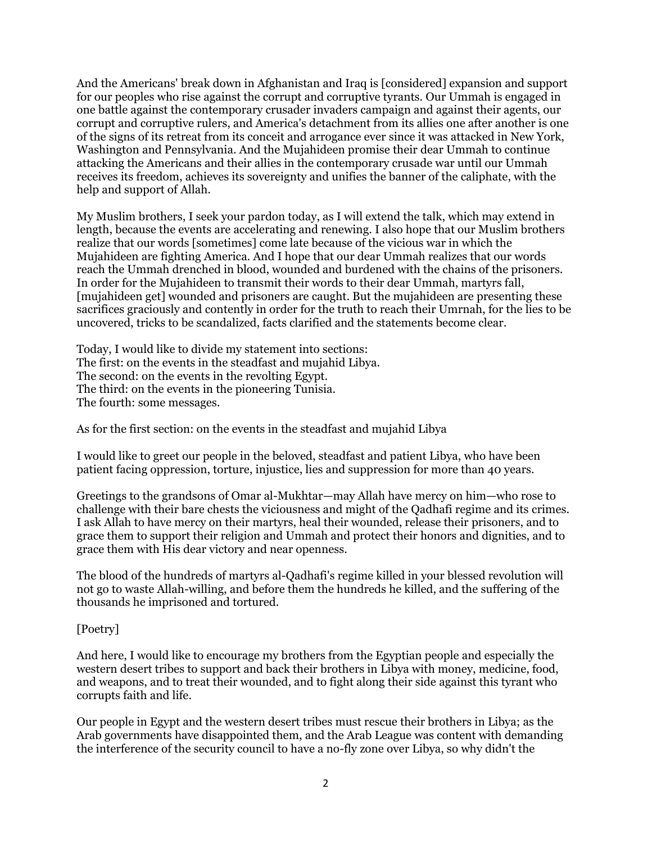And the Americans' break down in Afghanistan and Iraq is [considered] expansion and support for our peoples who rise against the corrupt and corruptive tyrants. Our Ummah is engaged in one battle against the contemporary crusader invaders campaign and against their agents, our corrupt and corruptive rulers, and America's detachment from its allies one after another is one of the signs of its retreat from its conceit and arrogance ever since it was attacked in New York, Washington and Pennsylvania. And the Mujahideen promise their dear Ummah to continue attacking the Americans and their allies in the contemporary crusade war until our Ummah receives its freedom, achieves its sovereignty and unifies the banner of the caliphate, with the help and support of Allah.

My Muslim brothers, I seek your pardon today, as I will extend the talk, which may extend in length, because the events are accelerating and renewing. I also hope that our Muslim brothers realize that our words [sometimes] come late because of the vicious war in which the Mujahideen are fighting America. And I hope that our dear Ummah realizes that our words reach the Ummah drenched in blood, wounded and burdened with the chains of the prisoners. In order for the Mujahideen to transmit their words to their dear Ummah, martyrs fall, [mujahideen get] wounded and prisoners are caught. But the mujahideen are presenting these sacrifices graciously and contently in order for the truth to reach their Umrnah, for the lies to be uncovered, tricks to be scandalized, facts clarified and the statements become clear.

Today, I would like to divide my statement into sections: The first: on the events in the steadfast and mujahid Libya. The second: on the events in the revolting Egypt. The third: on the events in the pioneering Tunisia. The fourth: some messages.

As for the first section: on the events in the steadfast and mujahid Libya

I would like to greet our people in the beloved, steadfast and patient Libya, who have been patient facing oppression, torture, injustice, lies and suppression for more than 40 years.

Greetings to the grandsons of Omar al-Mukhtar—may Allah have mercy on him—who rose to challenge with their bare chests the viciousness and might of the Qadhafi regime and its crimes. I ask Allah to have mercy on their martyrs, heal their wounded, release their prisoners, and to grace them to support their religion and Ummah and protect their honors and dignities, and to grace them with His dear victory and near openness.

The blood of the hundreds of martyrs al-Qadhafi's regime killed in your blessed revolution will not go to waste Allah-willing, and before them the hundreds he killed, and the suffering of the thousands he imprisoned and tortured.

## [Poetry]

And here, I would like to encourage my brothers from the Egyptian people and especially the western desert tribes to support and back their brothers in Libya with money, medicine, food, and weapons, and to treat their wounded, and to fight along their side against this tyrant who corrupts faith and life.

Our people in Egypt and the western desert tribes must rescue their brothers in Libya; as the Arab governments have disappointed them, and the Arab League was content with demanding the interference of the security council to have a no-fly zone over Libya, so why didn't the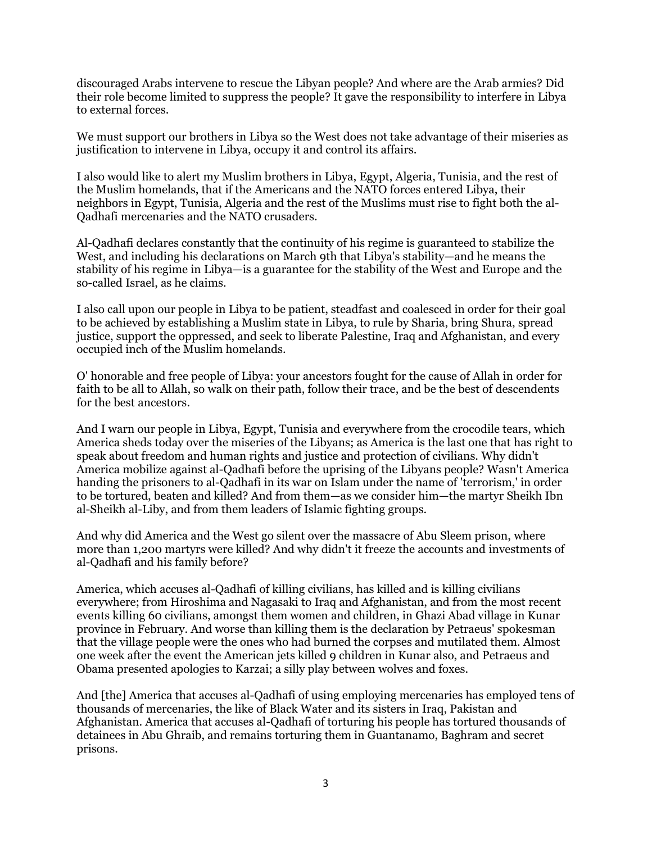discouraged Arabs intervene to rescue the Libyan people? And where are the Arab armies? Did their role become limited to suppress the people? It gave the responsibility to interfere in Libya to external forces.

We must support our brothers in Libya so the West does not take advantage of their miseries as justification to intervene in Libya, occupy it and control its affairs.

I also would like to alert my Muslim brothers in Libya, Egypt, Algeria, Tunisia, and the rest of the Muslim homelands, that if the Americans and the NATO forces entered Libya, their neighbors in Egypt, Tunisia, Algeria and the rest of the Muslims must rise to fight both the al-Qadhafi mercenaries and the NATO crusaders.

Al-Qadhafi declares constantly that the continuity of his regime is guaranteed to stabilize the West, and including his declarations on March 9th that Libya's stability—and he means the stability of his regime in Libya—is a guarantee for the stability of the West and Europe and the so-called Israel, as he claims.

I also call upon our people in Libya to be patient, steadfast and coalesced in order for their goal to be achieved by establishing a Muslim state in Libya, to rule by Sharia, bring Shura, spread justice, support the oppressed, and seek to liberate Palestine, Iraq and Afghanistan, and every occupied inch of the Muslim homelands.

O' honorable and free people of Libya: your ancestors fought for the cause of Allah in order for faith to be all to Allah, so walk on their path, follow their trace, and be the best of descendents for the best ancestors.

And I warn our people in Libya, Egypt, Tunisia and everywhere from the crocodile tears, which America sheds today over the miseries of the Libyans; as America is the last one that has right to speak about freedom and human rights and justice and protection of civilians. Why didn't America mobilize against al-Qadhafi before the uprising of the Libyans people? Wasn't America handing the prisoners to al-Qadhafi in its war on Islam under the name of 'terrorism,' in order to be tortured, beaten and killed? And from them—as we consider him—the martyr Sheikh Ibn al-Sheikh al-Liby, and from them leaders of Islamic fighting groups.

And why did America and the West go silent over the massacre of Abu Sleem prison, where more than 1,200 martyrs were killed? And why didn't it freeze the accounts and investments of al-Qadhafi and his family before?

America, which accuses al-Qadhafi of killing civilians, has killed and is killing civilians everywhere; from Hiroshima and Nagasaki to Iraq and Afghanistan, and from the most recent events killing 60 civilians, amongst them women and children, in Ghazi Abad village in Kunar province in February. And worse than killing them is the declaration by Petraeus' spokesman that the village people were the ones who had burned the corpses and mutilated them. Almost one week after the event the American jets killed 9 children in Kunar also, and Petraeus and Obama presented apologies to Karzai; a silly play between wolves and foxes.

And [the] America that accuses al-Qadhafi of using employing mercenaries has employed tens of thousands of mercenaries, the like of Black Water and its sisters in Iraq, Pakistan and Afghanistan. America that accuses al-Qadhafi of torturing his people has tortured thousands of detainees in Abu Ghraib, and remains torturing them in Guantanamo, Baghram and secret prisons.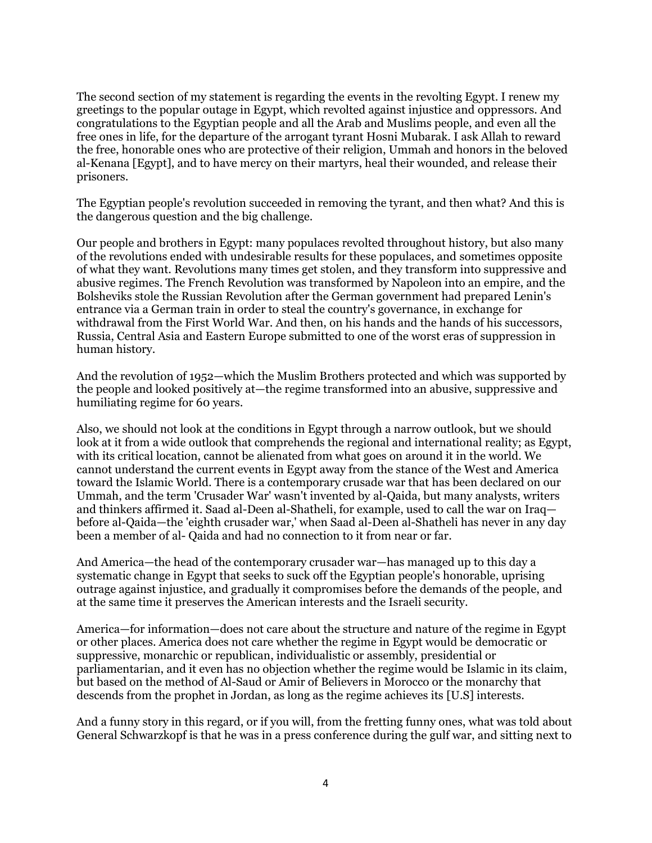The second section of my statement is regarding the events in the revolting Egypt. I renew my greetings to the popular outage in Egypt, which revolted against injustice and oppressors. And congratulations to the Egyptian people and all the Arab and Muslims people, and even all the free ones in life, for the departure of the arrogant tyrant Hosni Mubarak. I ask Allah to reward the free, honorable ones who are protective of their religion, Ummah and honors in the beloved al-Kenana [Egypt], and to have mercy on their martyrs, heal their wounded, and release their prisoners.

The Egyptian people's revolution succeeded in removing the tyrant, and then what? And this is the dangerous question and the big challenge.

Our people and brothers in Egypt: many populaces revolted throughout history, but also many of the revolutions ended with undesirable results for these populaces, and sometimes opposite of what they want. Revolutions many times get stolen, and they transform into suppressive and abusive regimes. The French Revolution was transformed by Napoleon into an empire, and the Bolsheviks stole the Russian Revolution after the German government had prepared Lenin's entrance via a German train in order to steal the country's governance, in exchange for withdrawal from the First World War. And then, on his hands and the hands of his successors, Russia, Central Asia and Eastern Europe submitted to one of the worst eras of suppression in human history.

And the revolution of 1952—which the Muslim Brothers protected and which was supported by the people and looked positively at—the regime transformed into an abusive, suppressive and humiliating regime for 60 years.

Also, we should not look at the conditions in Egypt through a narrow outlook, but we should look at it from a wide outlook that comprehends the regional and international reality; as Egypt, with its critical location, cannot be alienated from what goes on around it in the world. We cannot understand the current events in Egypt away from the stance of the West and America toward the Islamic World. There is a contemporary crusade war that has been declared on our Ummah, and the term 'Crusader War' wasn't invented by al-Qaida, but many analysts, writers and thinkers affirmed it. Saad al-Deen al-Shatheli, for example, used to call the war on Iraq before al-Qaida—the 'eighth crusader war,' when Saad al-Deen al-Shatheli has never in any day been a member of al- Qaida and had no connection to it from near or far.

And America—the head of the contemporary crusader war—has managed up to this day a systematic change in Egypt that seeks to suck off the Egyptian people's honorable, uprising outrage against injustice, and gradually it compromises before the demands of the people, and at the same time it preserves the American interests and the Israeli security.

America—for information—does not care about the structure and nature of the regime in Egypt or other places. America does not care whether the regime in Egypt would be democratic or suppressive, monarchic or republican, individualistic or assembly, presidential or parliamentarian, and it even has no objection whether the regime would be Islamic in its claim, but based on the method of Al-Saud or Amir of Believers in Morocco or the monarchy that descends from the prophet in Jordan, as long as the regime achieves its [U.S] interests.

And a funny story in this regard, or if you will, from the fretting funny ones, what was told about General Schwarzkopf is that he was in a press conference during the gulf war, and sitting next to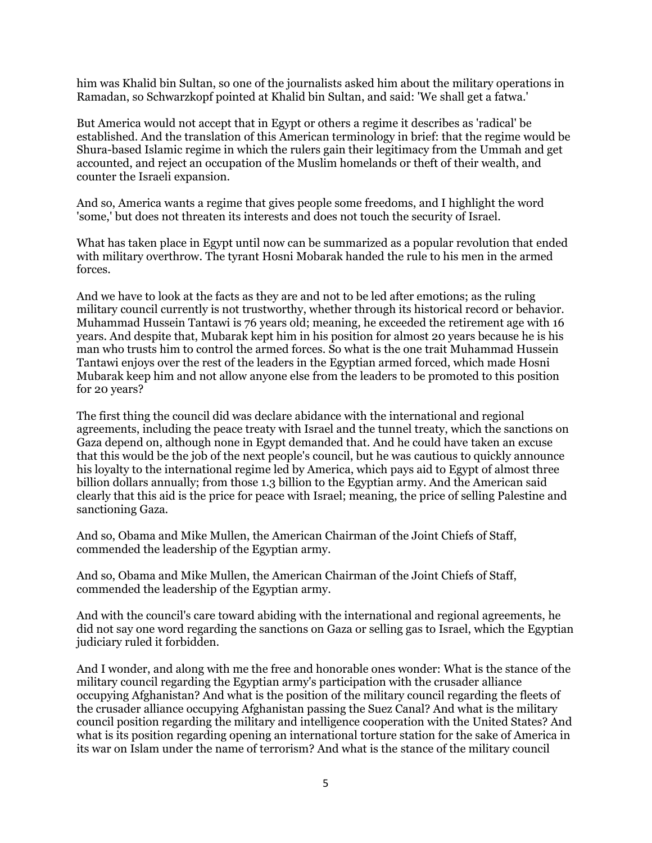him was Khalid bin Sultan, so one of the journalists asked him about the military operations in Ramadan, so Schwarzkopf pointed at Khalid bin Sultan, and said: 'We shall get a fatwa.'

But America would not accept that in Egypt or others a regime it describes as 'radical' be established. And the translation of this American terminology in brief: that the regime would be Shura-based Islamic regime in which the rulers gain their legitimacy from the Ummah and get accounted, and reject an occupation of the Muslim homelands or theft of their wealth, and counter the Israeli expansion.

And so, America wants a regime that gives people some freedoms, and I highlight the word 'some,' but does not threaten its interests and does not touch the security of Israel.

What has taken place in Egypt until now can be summarized as a popular revolution that ended with military overthrow. The tyrant Hosni Mobarak handed the rule to his men in the armed forces.

And we have to look at the facts as they are and not to be led after emotions; as the ruling military council currently is not trustworthy, whether through its historical record or behavior. Muhammad Hussein Tantawi is 76 years old; meaning, he exceeded the retirement age with 16 years. And despite that, Mubarak kept him in his position for almost 20 years because he is his man who trusts him to control the armed forces. So what is the one trait Muhammad Hussein Tantawi enjoys over the rest of the leaders in the Egyptian armed forced, which made Hosni Mubarak keep him and not allow anyone else from the leaders to be promoted to this position for 20 years?

The first thing the council did was declare abidance with the international and regional agreements, including the peace treaty with Israel and the tunnel treaty, which the sanctions on Gaza depend on, although none in Egypt demanded that. And he could have taken an excuse that this would be the job of the next people's council, but he was cautious to quickly announce his loyalty to the international regime led by America, which pays aid to Egypt of almost three billion dollars annually; from those 1.3 billion to the Egyptian army. And the American said clearly that this aid is the price for peace with Israel; meaning, the price of selling Palestine and sanctioning Gaza.

And so, Obama and Mike Mullen, the American Chairman of the Joint Chiefs of Staff, commended the leadership of the Egyptian army.

And so, Obama and Mike Mullen, the American Chairman of the Joint Chiefs of Staff, commended the leadership of the Egyptian army.

And with the council's care toward abiding with the international and regional agreements, he did not say one word regarding the sanctions on Gaza or selling gas to Israel, which the Egyptian judiciary ruled it forbidden.

And I wonder, and along with me the free and honorable ones wonder: What is the stance of the military council regarding the Egyptian army's participation with the crusader alliance occupying Afghanistan? And what is the position of the military council regarding the fleets of the crusader alliance occupying Afghanistan passing the Suez Canal? And what is the military council position regarding the military and intelligence cooperation with the United States? And what is its position regarding opening an international torture station for the sake of America in its war on Islam under the name of terrorism? And what is the stance of the military council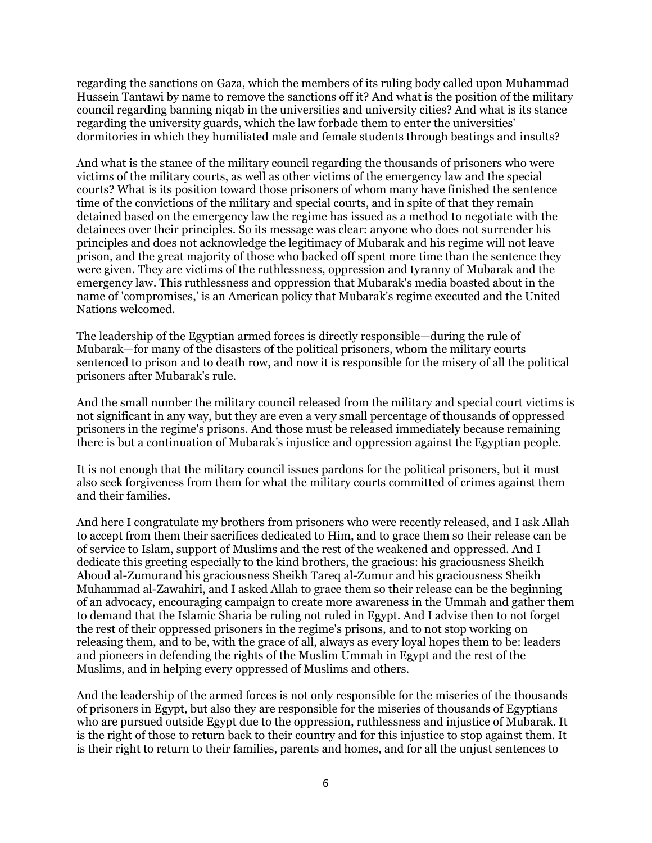regarding the sanctions on Gaza, which the members of its ruling body called upon Muhammad Hussein Tantawi by name to remove the sanctions off it? And what is the position of the military council regarding banning niqab in the universities and university cities? And what is its stance regarding the university guards, which the law forbade them to enter the universities' dormitories in which they humiliated male and female students through beatings and insults?

And what is the stance of the military council regarding the thousands of prisoners who were victims of the military courts, as well as other victims of the emergency law and the special courts? What is its position toward those prisoners of whom many have finished the sentence time of the convictions of the military and special courts, and in spite of that they remain detained based on the emergency law the regime has issued as a method to negotiate with the detainees over their principles. So its message was clear: anyone who does not surrender his principles and does not acknowledge the legitimacy of Mubarak and his regime will not leave prison, and the great majority of those who backed off spent more time than the sentence they were given. They are victims of the ruthlessness, oppression and tyranny of Mubarak and the emergency law. This ruthlessness and oppression that Mubarak's media boasted about in the name of 'compromises,' is an American policy that Mubarak's regime executed and the United Nations welcomed.

The leadership of the Egyptian armed forces is directly responsible—during the rule of Mubarak—for many of the disasters of the political prisoners, whom the military courts sentenced to prison and to death row, and now it is responsible for the misery of all the political prisoners after Mubarak's rule.

And the small number the military council released from the military and special court victims is not significant in any way, but they are even a very small percentage of thousands of oppressed prisoners in the regime's prisons. And those must be released immediately because remaining there is but a continuation of Mubarak's injustice and oppression against the Egyptian people.

It is not enough that the military council issues pardons for the political prisoners, but it must also seek forgiveness from them for what the military courts committed of crimes against them and their families.

And here I congratulate my brothers from prisoners who were recently released, and I ask Allah to accept from them their sacrifices dedicated to Him, and to grace them so their release can be of service to Islam, support of Muslims and the rest of the weakened and oppressed. And I dedicate this greeting especially to the kind brothers, the gracious: his graciousness Sheikh Aboud al-Zumurand his graciousness Sheikh Tareq al-Zumur and his graciousness Sheikh Muhammad al-Zawahiri, and I asked Allah to grace them so their release can be the beginning of an advocacy, encouraging campaign to create more awareness in the Ummah and gather them to demand that the Islamic Sharia be ruling not ruled in Egypt. And I advise then to not forget the rest of their oppressed prisoners in the regime's prisons, and to not stop working on releasing them, and to be, with the grace of all, always as every loyal hopes them to be: leaders and pioneers in defending the rights of the Muslim Ummah in Egypt and the rest of the Muslims, and in helping every oppressed of Muslims and others.

And the leadership of the armed forces is not only responsible for the miseries of the thousands of prisoners in Egypt, but also they are responsible for the miseries of thousands of Egyptians who are pursued outside Egypt due to the oppression, ruthlessness and injustice of Mubarak. It is the right of those to return back to their country and for this injustice to stop against them. It is their right to return to their families, parents and homes, and for all the unjust sentences to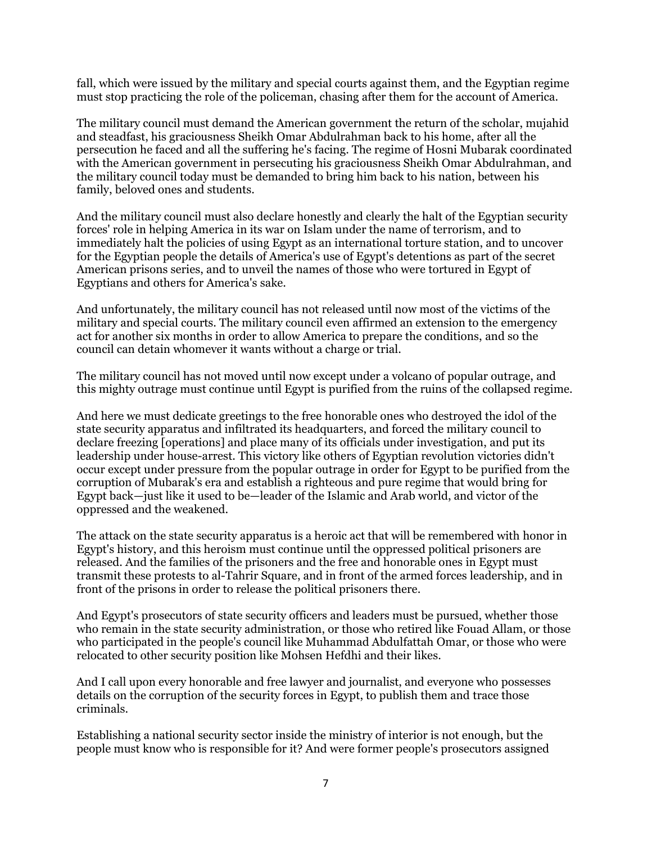fall, which were issued by the military and special courts against them, and the Egyptian regime must stop practicing the role of the policeman, chasing after them for the account of America.

The military council must demand the American government the return of the scholar, mujahid and steadfast, his graciousness Sheikh Omar Abdulrahman back to his home, after all the persecution he faced and all the suffering he's facing. The regime of Hosni Mubarak coordinated with the American government in persecuting his graciousness Sheikh Omar Abdulrahman, and the military council today must be demanded to bring him back to his nation, between his family, beloved ones and students.

And the military council must also declare honestly and clearly the halt of the Egyptian security forces' role in helping America in its war on Islam under the name of terrorism, and to immediately halt the policies of using Egypt as an international torture station, and to uncover for the Egyptian people the details of America's use of Egypt's detentions as part of the secret American prisons series, and to unveil the names of those who were tortured in Egypt of Egyptians and others for America's sake.

And unfortunately, the military council has not released until now most of the victims of the military and special courts. The military council even affirmed an extension to the emergency act for another six months in order to allow America to prepare the conditions, and so the council can detain whomever it wants without a charge or trial.

The military council has not moved until now except under a volcano of popular outrage, and this mighty outrage must continue until Egypt is purified from the ruins of the collapsed regime.

And here we must dedicate greetings to the free honorable ones who destroyed the idol of the state security apparatus and infiltrated its headquarters, and forced the military council to declare freezing [operations] and place many of its officials under investigation, and put its leadership under house-arrest. This victory like others of Egyptian revolution victories didn't occur except under pressure from the popular outrage in order for Egypt to be purified from the corruption of Mubarak's era and establish a righteous and pure regime that would bring for Egypt back—just like it used to be—leader of the Islamic and Arab world, and victor of the oppressed and the weakened.

The attack on the state security apparatus is a heroic act that will be remembered with honor in Egypt's history, and this heroism must continue until the oppressed political prisoners are released. And the families of the prisoners and the free and honorable ones in Egypt must transmit these protests to al-Tahrir Square, and in front of the armed forces leadership, and in front of the prisons in order to release the political prisoners there.

And Egypt's prosecutors of state security officers and leaders must be pursued, whether those who remain in the state security administration, or those who retired like Fouad Allam, or those who participated in the people's council like Muhammad Abdulfattah Omar, or those who were relocated to other security position like Mohsen Hefdhi and their likes.

And I call upon every honorable and free lawyer and journalist, and everyone who possesses details on the corruption of the security forces in Egypt, to publish them and trace those criminals.

Establishing a national security sector inside the ministry of interior is not enough, but the people must know who is responsible for it? And were former people's prosecutors assigned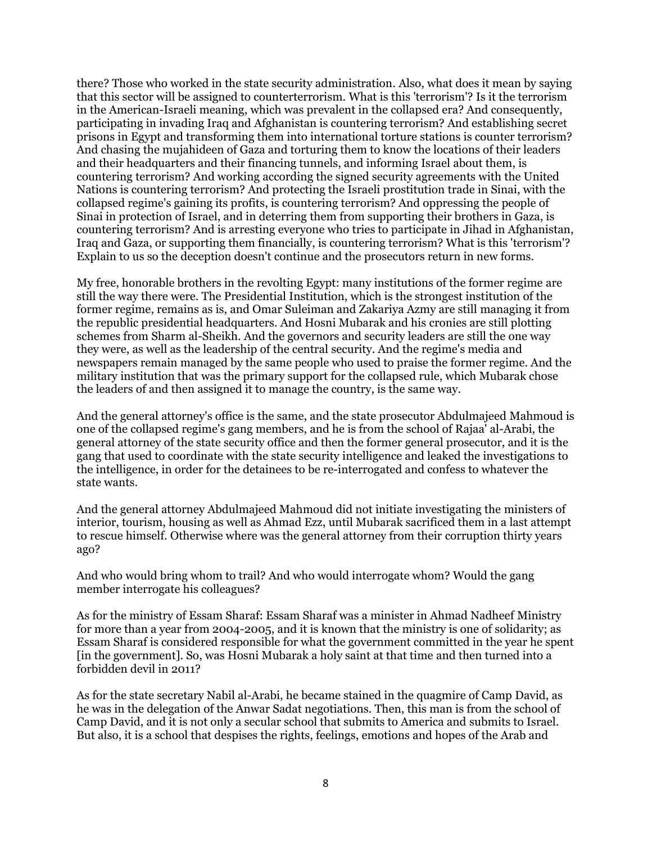there? Those who worked in the state security administration. Also, what does it mean by saying that this sector will be assigned to counterterrorism. What is this 'terrorism'? Is it the terrorism in the American-Israeli meaning, which was prevalent in the collapsed era? And consequently, participating in invading Iraq and Afghanistan is countering terrorism? And establishing secret prisons in Egypt and transforming them into international torture stations is counter terrorism? And chasing the mujahideen of Gaza and torturing them to know the locations of their leaders and their headquarters and their financing tunnels, and informing Israel about them, is countering terrorism? And working according the signed security agreements with the United Nations is countering terrorism? And protecting the Israeli prostitution trade in Sinai, with the collapsed regime's gaining its profits, is countering terrorism? And oppressing the people of Sinai in protection of Israel, and in deterring them from supporting their brothers in Gaza, is countering terrorism? And is arresting everyone who tries to participate in Jihad in Afghanistan, Iraq and Gaza, or supporting them financially, is countering terrorism? What is this 'terrorism'? Explain to us so the deception doesn't continue and the prosecutors return in new forms.

My free, honorable brothers in the revolting Egypt: many institutions of the former regime are still the way there were. The Presidential Institution, which is the strongest institution of the former regime, remains as is, and Omar Suleiman and Zakariya Azmy are still managing it from the republic presidential headquarters. And Hosni Mubarak and his cronies are still plotting schemes from Sharm al-Sheikh. And the governors and security leaders are still the one way they were, as well as the leadership of the central security. And the regime's media and newspapers remain managed by the same people who used to praise the former regime. And the military institution that was the primary support for the collapsed rule, which Mubarak chose the leaders of and then assigned it to manage the country, is the same way.

And the general attorney's office is the same, and the state prosecutor Abdulmajeed Mahmoud is one of the collapsed regime's gang members, and he is from the school of Rajaa' al-Arabi, the general attorney of the state security office and then the former general prosecutor, and it is the gang that used to coordinate with the state security intelligence and leaked the investigations to the intelligence, in order for the detainees to be re-interrogated and confess to whatever the state wants.

And the general attorney Abdulmajeed Mahmoud did not initiate investigating the ministers of interior, tourism, housing as well as Ahmad Ezz, until Mubarak sacrificed them in a last attempt to rescue himself. Otherwise where was the general attorney from their corruption thirty years ago?

And who would bring whom to trail? And who would interrogate whom? Would the gang member interrogate his colleagues?

As for the ministry of Essam Sharaf: Essam Sharaf was a minister in Ahmad Nadheef Ministry for more than a year from 2004-2005, and it is known that the ministry is one of solidarity; as Essam Sharaf is considered responsible for what the government committed in the year he spent [in the government]. So, was Hosni Mubarak a holy saint at that time and then turned into a forbidden devil in 2011?

As for the state secretary Nabil al-Arabi, he became stained in the quagmire of Camp David, as he was in the delegation of the Anwar Sadat negotiations. Then, this man is from the school of Camp David, and it is not only a secular school that submits to America and submits to Israel. But also, it is a school that despises the rights, feelings, emotions and hopes of the Arab and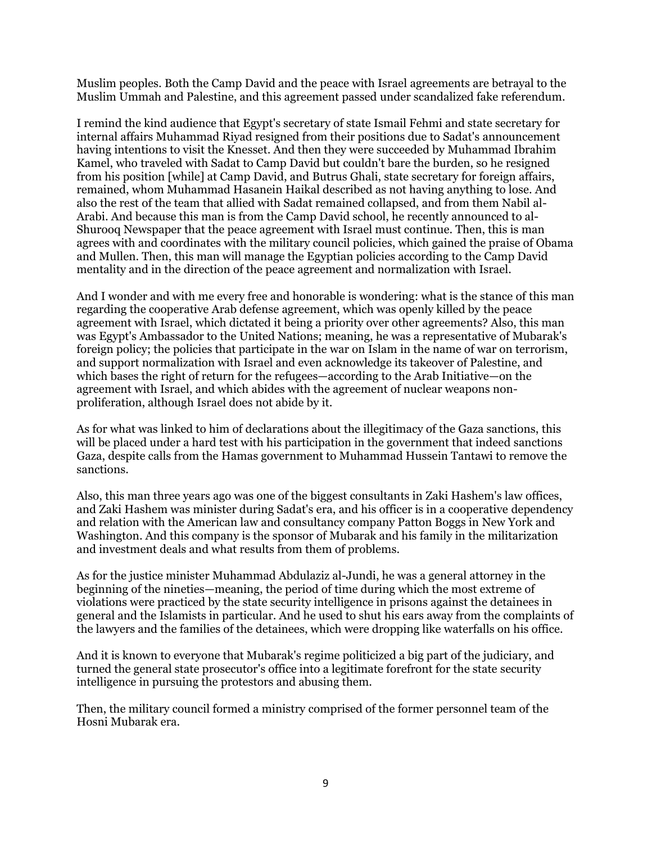Muslim peoples. Both the Camp David and the peace with Israel agreements are betrayal to the Muslim Ummah and Palestine, and this agreement passed under scandalized fake referendum.

I remind the kind audience that Egypt's secretary of state Ismail Fehmi and state secretary for internal affairs Muhammad Riyad resigned from their positions due to Sadat's announcement having intentions to visit the Knesset. And then they were succeeded by Muhammad Ibrahim Kamel, who traveled with Sadat to Camp David but couldn't bare the burden, so he resigned from his position [while] at Camp David, and Butrus Ghali, state secretary for foreign affairs, remained, whom Muhammad Hasanein Haikal described as not having anything to lose. And also the rest of the team that allied with Sadat remained collapsed, and from them Nabil al-Arabi. And because this man is from the Camp David school, he recently announced to al-Shurooq Newspaper that the peace agreement with Israel must continue. Then, this is man agrees with and coordinates with the military council policies, which gained the praise of Obama and Mullen. Then, this man will manage the Egyptian policies according to the Camp David mentality and in the direction of the peace agreement and normalization with Israel.

And I wonder and with me every free and honorable is wondering: what is the stance of this man regarding the cooperative Arab defense agreement, which was openly killed by the peace agreement with Israel, which dictated it being a priority over other agreements? Also, this man was Egypt's Ambassador to the United Nations; meaning, he was a representative of Mubarak's foreign policy; the policies that participate in the war on Islam in the name of war on terrorism, and support normalization with Israel and even acknowledge its takeover of Palestine, and which bases the right of return for the refugees—according to the Arab Initiative—on the agreement with Israel, and which abides with the agreement of nuclear weapons nonproliferation, although Israel does not abide by it.

As for what was linked to him of declarations about the illegitimacy of the Gaza sanctions, this will be placed under a hard test with his participation in the government that indeed sanctions Gaza, despite calls from the Hamas government to Muhammad Hussein Tantawi to remove the sanctions.

Also, this man three years ago was one of the biggest consultants in Zaki Hashem's law offices, and Zaki Hashem was minister during Sadat's era, and his officer is in a cooperative dependency and relation with the American law and consultancy company Patton Boggs in New York and Washington. And this company is the sponsor of Mubarak and his family in the militarization and investment deals and what results from them of problems.

As for the justice minister Muhammad Abdulaziz al-Jundi, he was a general attorney in the beginning of the nineties—meaning, the period of time during which the most extreme of violations were practiced by the state security intelligence in prisons against the detainees in general and the Islamists in particular. And he used to shut his ears away from the complaints of the lawyers and the families of the detainees, which were dropping like waterfalls on his office.

And it is known to everyone that Mubarak's regime politicized a big part of the judiciary, and turned the general state prosecutor's office into a legitimate forefront for the state security intelligence in pursuing the protestors and abusing them.

Then, the military council formed a ministry comprised of the former personnel team of the Hosni Mubarak era.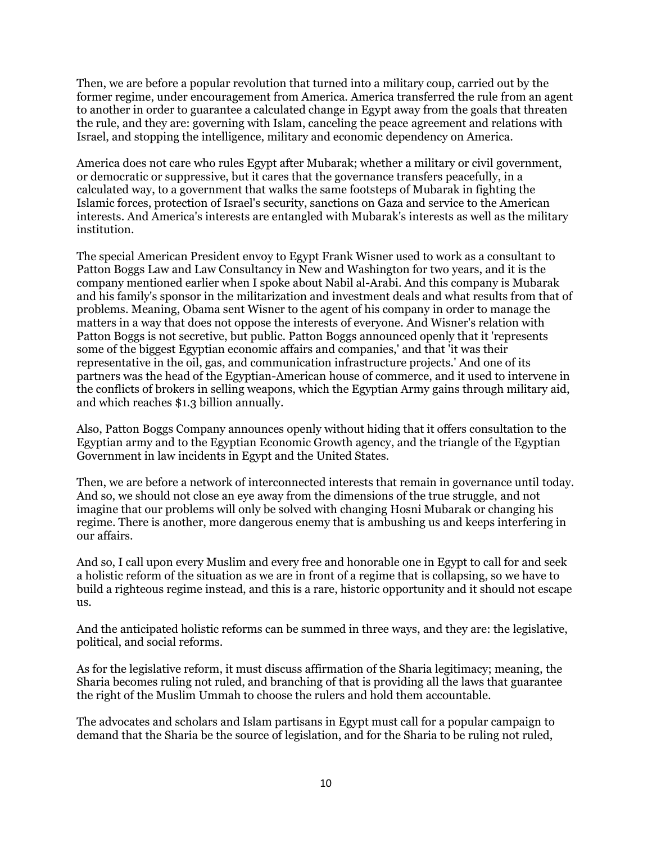Then, we are before a popular revolution that turned into a military coup, carried out by the former regime, under encouragement from America. America transferred the rule from an agent to another in order to guarantee a calculated change in Egypt away from the goals that threaten the rule, and they are: governing with Islam, canceling the peace agreement and relations with Israel, and stopping the intelligence, military and economic dependency on America.

America does not care who rules Egypt after Mubarak; whether a military or civil government, or democratic or suppressive, but it cares that the governance transfers peacefully, in a calculated way, to a government that walks the same footsteps of Mubarak in fighting the Islamic forces, protection of Israel's security, sanctions on Gaza and service to the American interests. And America's interests are entangled with Mubarak's interests as well as the military institution.

The special American President envoy to Egypt Frank Wisner used to work as a consultant to Patton Boggs Law and Law Consultancy in New and Washington for two years, and it is the company mentioned earlier when I spoke about Nabil al-Arabi. And this company is Mubarak and his family's sponsor in the militarization and investment deals and what results from that of problems. Meaning, Obama sent Wisner to the agent of his company in order to manage the matters in a way that does not oppose the interests of everyone. And Wisner's relation with Patton Boggs is not secretive, but public. Patton Boggs announced openly that it 'represents some of the biggest Egyptian economic affairs and companies,' and that 'it was their representative in the oil, gas, and communication infrastructure projects.' And one of its partners was the head of the Egyptian-American house of commerce, and it used to intervene in the conflicts of brokers in selling weapons, which the Egyptian Army gains through military aid, and which reaches \$1.3 billion annually.

Also, Patton Boggs Company announces openly without hiding that it offers consultation to the Egyptian army and to the Egyptian Economic Growth agency, and the triangle of the Egyptian Government in law incidents in Egypt and the United States.

Then, we are before a network of interconnected interests that remain in governance until today. And so, we should not close an eye away from the dimensions of the true struggle, and not imagine that our problems will only be solved with changing Hosni Mubarak or changing his regime. There is another, more dangerous enemy that is ambushing us and keeps interfering in our affairs.

And so, I call upon every Muslim and every free and honorable one in Egypt to call for and seek a holistic reform of the situation as we are in front of a regime that is collapsing, so we have to build a righteous regime instead, and this is a rare, historic opportunity and it should not escape  $11S<sub>1</sub>$ 

And the anticipated holistic reforms can be summed in three ways, and they are: the legislative, political, and social reforms.

As for the legislative reform, it must discuss affirmation of the Sharia legitimacy; meaning, the Sharia becomes ruling not ruled, and branching of that is providing all the laws that guarantee the right of the Muslim Ummah to choose the rulers and hold them accountable.

The advocates and scholars and Islam partisans in Egypt must call for a popular campaign to demand that the Sharia be the source of legislation, and for the Sharia to be ruling not ruled,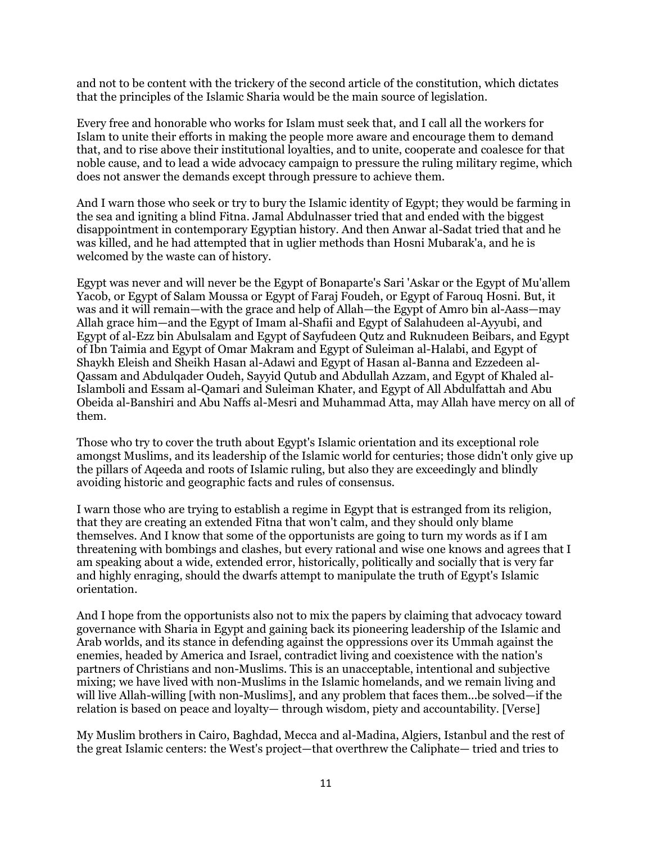and not to be content with the trickery of the second article of the constitution, which dictates that the principles of the Islamic Sharia would be the main source of legislation.

Every free and honorable who works for Islam must seek that, and I call all the workers for Islam to unite their efforts in making the people more aware and encourage them to demand that, and to rise above their institutional loyalties, and to unite, cooperate and coalesce for that noble cause, and to lead a wide advocacy campaign to pressure the ruling military regime, which does not answer the demands except through pressure to achieve them.

And I warn those who seek or try to bury the Islamic identity of Egypt; they would be farming in the sea and igniting a blind Fitna. Jamal Abdulnasser tried that and ended with the biggest disappointment in contemporary Egyptian history. And then Anwar al-Sadat tried that and he was killed, and he had attempted that in uglier methods than Hosni Mubarak'a, and he is welcomed by the waste can of history.

Egypt was never and will never be the Egypt of Bonaparte's Sari 'Askar or the Egypt of Mu'allem Yacob, or Egypt of Salam Moussa or Egypt of Faraj Foudeh, or Egypt of Farouq Hosni. But, it was and it will remain—with the grace and help of Allah—the Egypt of Amro bin al-Aass—may Allah grace him—and the Egypt of Imam al-Shafii and Egypt of Salahudeen al-Ayyubi, and Egypt of al-Ezz bin Abulsalam and Egypt of Sayfudeen Qutz and Ruknudeen Beibars, and Egypt of Ibn Taimia and Egypt of Omar Makram and Egypt of Suleiman al-Halabi, and Egypt of Shaykh Eleish and Sheikh Hasan al-Adawi and Egypt of Hasan al-Banna and Ezzedeen al-Qassam and Abdulqader Oudeh, Sayyid Qutub and Abdullah Azzam, and Egypt of Khaled al-Islamboli and Essam al-Qamari and Suleiman Khater, and Egypt of All Abdulfattah and Abu Obeida al-Banshiri and Abu Naffs al-Mesri and Muhammad Atta, may Allah have mercy on all of them.

Those who try to cover the truth about Egypt's Islamic orientation and its exceptional role amongst Muslims, and its leadership of the Islamic world for centuries; those didn't only give up the pillars of Aqeeda and roots of Islamic ruling, but also they are exceedingly and blindly avoiding historic and geographic facts and rules of consensus.

I warn those who are trying to establish a regime in Egypt that is estranged from its religion, that they are creating an extended Fitna that won't calm, and they should only blame themselves. And I know that some of the opportunists are going to turn my words as if I am threatening with bombings and clashes, but every rational and wise one knows and agrees that I am speaking about a wide, extended error, historically, politically and socially that is very far and highly enraging, should the dwarfs attempt to manipulate the truth of Egypt's Islamic orientation.

And I hope from the opportunists also not to mix the papers by claiming that advocacy toward governance with Sharia in Egypt and gaining back its pioneering leadership of the Islamic and Arab worlds, and its stance in defending against the oppressions over its Ummah against the enemies, headed by America and Israel, contradict living and coexistence with the nation's partners of Christians and non-Muslims. This is an unacceptable, intentional and subjective mixing; we have lived with non-Muslims in the Islamic homelands, and we remain living and will live Allah-willing [with non-Muslims], and any problem that faces them...be solved—if the relation is based on peace and loyalty— through wisdom, piety and accountability. [Verse]

My Muslim brothers in Cairo, Baghdad, Mecca and al-Madina, Algiers, Istanbul and the rest of the great Islamic centers: the West's project—that overthrew the Caliphate— tried and tries to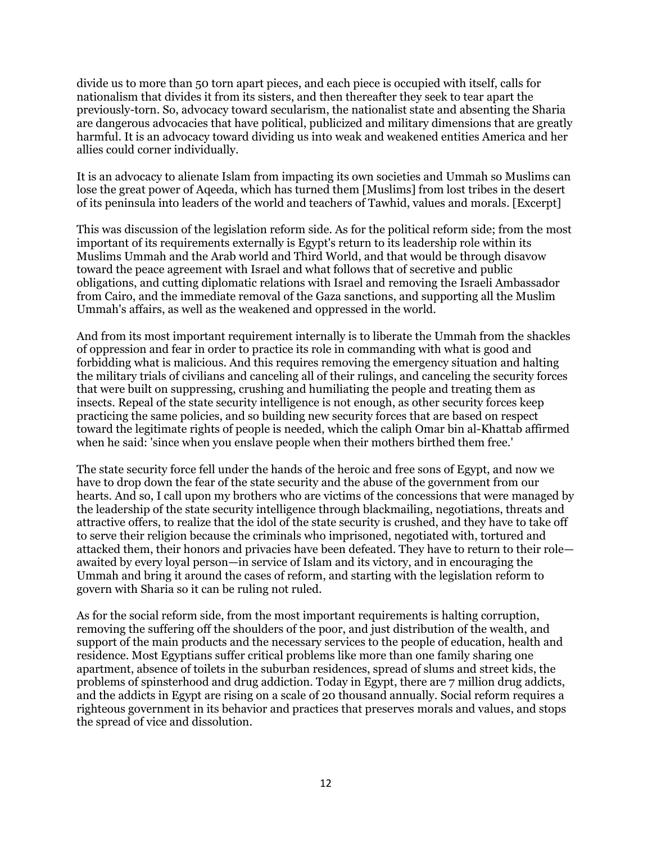divide us to more than 50 torn apart pieces, and each piece is occupied with itself, calls for nationalism that divides it from its sisters, and then thereafter they seek to tear apart the previously-torn. So, advocacy toward secularism, the nationalist state and absenting the Sharia are dangerous advocacies that have political, publicized and military dimensions that are greatly harmful. It is an advocacy toward dividing us into weak and weakened entities America and her allies could corner individually.

It is an advocacy to alienate Islam from impacting its own societies and Ummah so Muslims can lose the great power of Aqeeda, which has turned them [Muslims] from lost tribes in the desert of its peninsula into leaders of the world and teachers of Tawhid, values and morals. [Excerpt]

This was discussion of the legislation reform side. As for the political reform side; from the most important of its requirements externally is Egypt's return to its leadership role within its Muslims Ummah and the Arab world and Third World, and that would be through disavow toward the peace agreement with Israel and what follows that of secretive and public obligations, and cutting diplomatic relations with Israel and removing the Israeli Ambassador from Cairo, and the immediate removal of the Gaza sanctions, and supporting all the Muslim Ummah's affairs, as well as the weakened and oppressed in the world.

And from its most important requirement internally is to liberate the Ummah from the shackles of oppression and fear in order to practice its role in commanding with what is good and forbidding what is malicious. And this requires removing the emergency situation and halting the military trials of civilians and canceling all of their rulings, and canceling the security forces that were built on suppressing, crushing and humiliating the people and treating them as insects. Repeal of the state security intelligence is not enough, as other security forces keep practicing the same policies, and so building new security forces that are based on respect toward the legitimate rights of people is needed, which the caliph Omar bin al-Khattab affirmed when he said: 'since when you enslave people when their mothers birthed them free.'

The state security force fell under the hands of the heroic and free sons of Egypt, and now we have to drop down the fear of the state security and the abuse of the government from our hearts. And so, I call upon my brothers who are victims of the concessions that were managed by the leadership of the state security intelligence through blackmailing, negotiations, threats and attractive offers, to realize that the idol of the state security is crushed, and they have to take off to serve their religion because the criminals who imprisoned, negotiated with, tortured and attacked them, their honors and privacies have been defeated. They have to return to their role awaited by every loyal person—in service of Islam and its victory, and in encouraging the Ummah and bring it around the cases of reform, and starting with the legislation reform to govern with Sharia so it can be ruling not ruled.

As for the social reform side, from the most important requirements is halting corruption, removing the suffering off the shoulders of the poor, and just distribution of the wealth, and support of the main products and the necessary services to the people of education, health and residence. Most Egyptians suffer critical problems like more than one family sharing one apartment, absence of toilets in the suburban residences, spread of slums and street kids, the problems of spinsterhood and drug addiction. Today in Egypt, there are 7 million drug addicts, and the addicts in Egypt are rising on a scale of 20 thousand annually. Social reform requires a righteous government in its behavior and practices that preserves morals and values, and stops the spread of vice and dissolution.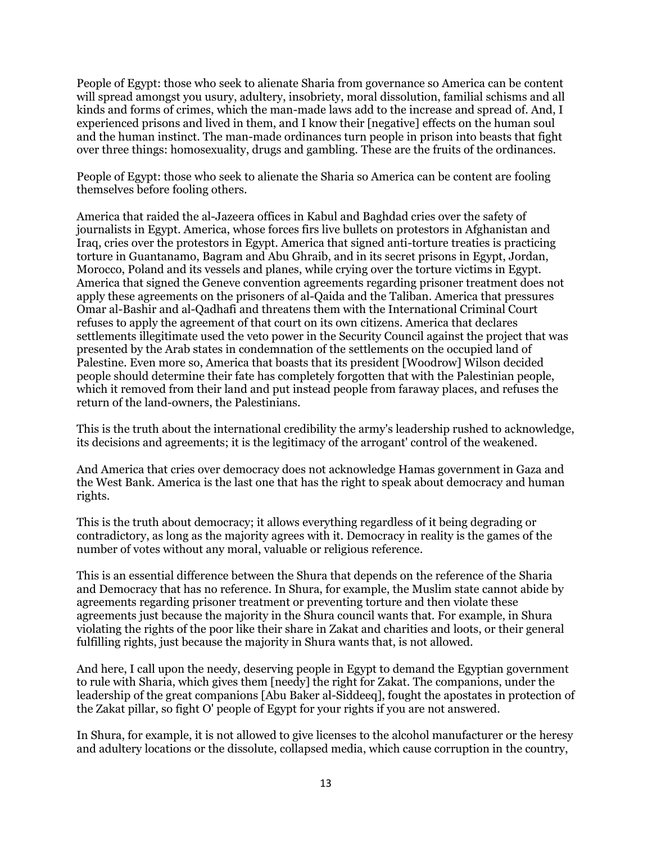People of Egypt: those who seek to alienate Sharia from governance so America can be content will spread amongst you usury, adultery, insobriety, moral dissolution, familial schisms and all kinds and forms of crimes, which the man-made laws add to the increase and spread of. And, I experienced prisons and lived in them, and I know their [negative] effects on the human soul and the human instinct. The man-made ordinances turn people in prison into beasts that fight over three things: homosexuality, drugs and gambling. These are the fruits of the ordinances.

People of Egypt: those who seek to alienate the Sharia so America can be content are fooling themselves before fooling others.

America that raided the al-Jazeera offices in Kabul and Baghdad cries over the safety of journalists in Egypt. America, whose forces firs live bullets on protestors in Afghanistan and Iraq, cries over the protestors in Egypt. America that signed anti-torture treaties is practicing torture in Guantanamo, Bagram and Abu Ghraib, and in its secret prisons in Egypt, Jordan, Morocco, Poland and its vessels and planes, while crying over the torture victims in Egypt. America that signed the Geneve convention agreements regarding prisoner treatment does not apply these agreements on the prisoners of al-Qaida and the Taliban. America that pressures Omar al-Bashir and al-Qadhafi and threatens them with the International Criminal Court refuses to apply the agreement of that court on its own citizens. America that declares settlements illegitimate used the veto power in the Security Council against the project that was presented by the Arab states in condemnation of the settlements on the occupied land of Palestine. Even more so, America that boasts that its president [Woodrow] Wilson decided people should determine their fate has completely forgotten that with the Palestinian people, which it removed from their land and put instead people from faraway places, and refuses the return of the land-owners, the Palestinians.

This is the truth about the international credibility the army's leadership rushed to acknowledge, its decisions and agreements; it is the legitimacy of the arrogant' control of the weakened.

And America that cries over democracy does not acknowledge Hamas government in Gaza and the West Bank. America is the last one that has the right to speak about democracy and human rights.

This is the truth about democracy; it allows everything regardless of it being degrading or contradictory, as long as the majority agrees with it. Democracy in reality is the games of the number of votes without any moral, valuable or religious reference.

This is an essential difference between the Shura that depends on the reference of the Sharia and Democracy that has no reference. In Shura, for example, the Muslim state cannot abide by agreements regarding prisoner treatment or preventing torture and then violate these agreements just because the majority in the Shura council wants that. For example, in Shura violating the rights of the poor like their share in Zakat and charities and loots, or their general fulfilling rights, just because the majority in Shura wants that, is not allowed.

And here, I call upon the needy, deserving people in Egypt to demand the Egyptian government to rule with Sharia, which gives them [needy] the right for Zakat. The companions, under the leadership of the great companions [Abu Baker al-Siddeeq], fought the apostates in protection of the Zakat pillar, so fight O' people of Egypt for your rights if you are not answered.

In Shura, for example, it is not allowed to give licenses to the alcohol manufacturer or the heresy and adultery locations or the dissolute, collapsed media, which cause corruption in the country,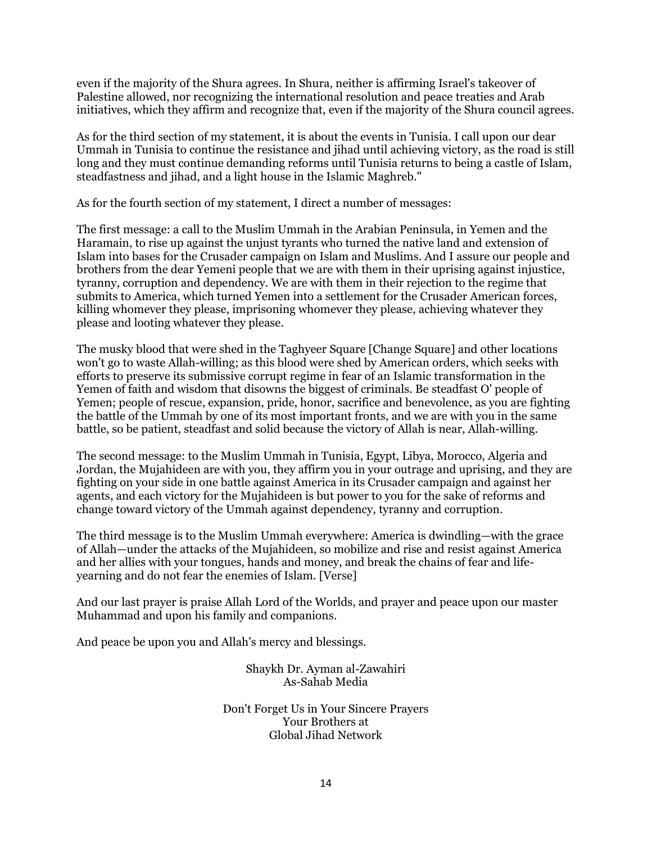even if the majority of the Shura agrees. In Shura, neither is affirming Israel's takeover of Palestine allowed, nor recognizing the international resolution and peace treaties and Arab initiatives, which they affirm and recognize that, even if the majority of the Shura council agrees.

As for the third section of my statement, it is about the events in Tunisia. I call upon our dear Ummah in Tunisia to continue the resistance and jihad until achieving victory, as the road is still long and they must continue demanding reforms until Tunisia returns to being a castle of Islam, steadfastness and jihad, and a light house in the Islamic Maghreb."

As for the fourth section of my statement, I direct a number of messages:

The first message: a call to the Muslim Ummah in the Arabian Peninsula, in Yemen and the Haramain, to rise up against the unjust tyrants who turned the native land and extension of Islam into bases for the Crusader campaign on Islam and Muslims. And I assure our people and brothers from the dear Yemeni people that we are with them in their uprising against injustice, tyranny, corruption and dependency. We are with them in their rejection to the regime that submits to America, which turned Yemen into a settlement for the Crusader American forces, killing whomever they please, imprisoning whomever they please, achieving whatever they please and looting whatever they please.

The musky blood that were shed in the Taghyeer Square [Change Square] and other locations won't go to waste Allah-willing; as this blood were shed by American orders, which seeks with efforts to preserve its submissive corrupt regime in fear of an Islamic transformation in the Yemen of faith and wisdom that disowns the biggest of criminals. Be steadfast O' people of Yemen; people of rescue, expansion, pride, honor, sacrifice and benevolence, as you are fighting the battle of the Ummah by one of its most important fronts, and we are with you in the same battle, so be patient, steadfast and solid because the victory of Allah is near, Allah-willing.

The second message: to the Muslim Ummah in Tunisia, Egypt, Libya, Morocco, Algeria and Jordan, the Mujahideen are with you, they affirm you in your outrage and uprising, and they are fighting on your side in one battle against America in its Crusader campaign and against her agents, and each victory for the Mujahideen is but power to you for the sake of reforms and change toward victory of the Ummah against dependency, tyranny and corruption.

The third message is to the Muslim Ummah everywhere: America is dwindling—with the grace of Allah—under the attacks of the Mujahideen, so mobilize and rise and resist against America and her allies with your tongues, hands and money, and break the chains of fear and lifeyearning and do not fear the enemies of Islam. [Verse]

And our last prayer is praise Allah Lord of the Worlds, and prayer and peace upon our master Muhammad and upon his family and companions.

And peace be upon you and Allah's mercy and blessings.

Shaykh Dr. Ayman al-Zawahiri As-Sahab Media

Don't Forget Us in Your Sincere Prayers Your Brothers at Global Jihad Network